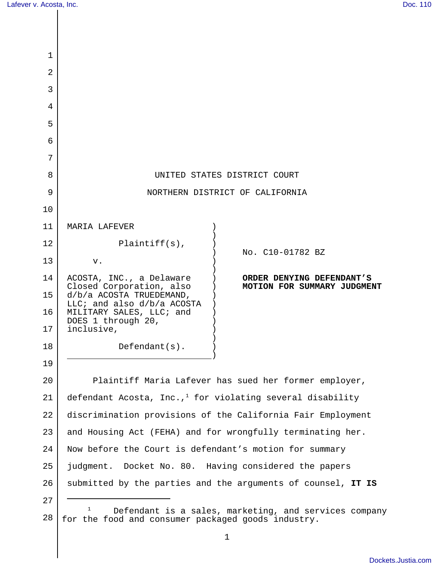| 1  |                                                                                                                  |                                                          |  |
|----|------------------------------------------------------------------------------------------------------------------|----------------------------------------------------------|--|
| 2  |                                                                                                                  |                                                          |  |
| 3  |                                                                                                                  |                                                          |  |
| 4  |                                                                                                                  |                                                          |  |
| 5  |                                                                                                                  |                                                          |  |
| 6  |                                                                                                                  |                                                          |  |
| 7  |                                                                                                                  |                                                          |  |
| 8  | UNITED STATES DISTRICT COURT                                                                                     |                                                          |  |
| 9  | NORTHERN DISTRICT OF CALIFORNIA                                                                                  |                                                          |  |
| 10 |                                                                                                                  |                                                          |  |
| 11 | MARIA LAFEVER                                                                                                    |                                                          |  |
| 12 | $Plaintiff(s)$ ,                                                                                                 | No. C10-01782 BZ                                         |  |
| 13 | V.                                                                                                               |                                                          |  |
| 14 | ACOSTA, INC., a Delaware<br>Closed Corporation, also                                                             | ORDER DENYING DEFENDANT'S<br>MOTION FOR SUMMARY JUDGMENT |  |
| 15 | d/b/a ACOSTA TRUEDEMAND,<br>LLC; and also $d/b/a$ ACOSTA                                                         |                                                          |  |
| 16 | MILITARY SALES, LLC; and<br>DOES 1 through 20,                                                                   |                                                          |  |
| 17 | inclusive,                                                                                                       |                                                          |  |
| 18 | $Defendant(s)$ .                                                                                                 |                                                          |  |
| 19 |                                                                                                                  |                                                          |  |
| 20 | Plaintiff Maria Lafever has sued her former employer,                                                            |                                                          |  |
| 21 | defendant Acosta, Inc., <sup>1</sup> for violating several disability                                            |                                                          |  |
| 22 | discrimination provisions of the California Fair Employment                                                      |                                                          |  |
| 23 | and Housing Act (FEHA) and for wrongfully terminating her.                                                       |                                                          |  |
| 24 | Now before the Court is defendant's motion for summary                                                           |                                                          |  |
| 25 | judgment. Docket No. 80. Having considered the papers                                                            |                                                          |  |
| 26 | submitted by the parties and the arguments of counsel, IT IS                                                     |                                                          |  |
| 27 |                                                                                                                  |                                                          |  |
| 28 | 1<br>Defendant is a sales, marketing, and services company<br>for the food and consumer packaged goods industry. |                                                          |  |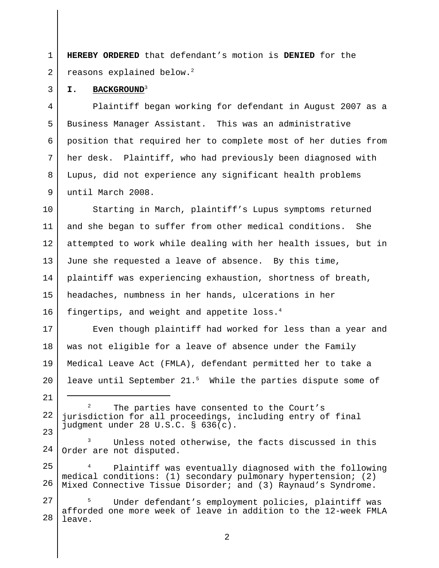1  $\mathfrak{D}$ **HEREBY ORDERED** that defendant's motion is **DENIED** for the reasons explained below.<sup>2</sup>

#### **I. BACKGROUND**<sup>3</sup>

3

21

4 5 6 7 8 9 Plaintiff began working for defendant in August 2007 as a Business Manager Assistant. This was an administrative position that required her to complete most of her duties from her desk. Plaintiff, who had previously been diagnosed with Lupus, did not experience any significant health problems until March 2008.

10 11 12 13 14 15 16 Starting in March, plaintiff's Lupus symptoms returned and she began to suffer from other medical conditions. She attempted to work while dealing with her health issues, but in June she requested a leave of absence. By this time, plaintiff was experiencing exhaustion, shortness of breath, headaches, numbness in her hands, ulcerations in her fingertips, and weight and appetite loss.<sup>4</sup>

17 18 19  $2.0$ Even though plaintiff had worked for less than a year and was not eligible for a leave of absence under the Family Medical Leave Act (FMLA), defendant permitted her to take a leave until September  $21.^5$  While the parties dispute some of

22 23  $2^2$  The parties have consented to the Court's jurisdiction for all proceedings, including entry of final judgment under 28 U.S.C. § 636(c).

24 Unless noted otherwise, the facts discussed in this Order are not disputed.

25 26 Plaintiff was eventually diagnosed with the following medical conditions: (1) secondary pulmonary hypertension; (2) Mixed Connective Tissue Disorder; and (3) Raynaud's Syndrome.

27 28 Under defendant's employment policies, plaintiff was afforded one more week of leave in addition to the 12-week FMLA leave.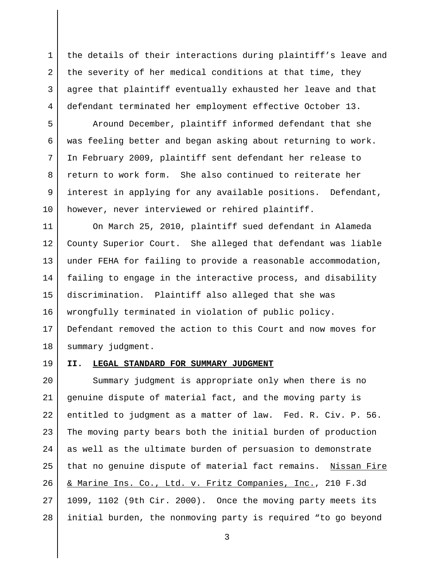the details of their interactions during plaintiff's leave and the severity of her medical conditions at that time, they agree that plaintiff eventually exhausted her leave and that defendant terminated her employment effective October 13.

Around December, plaintiff informed defendant that she was feeling better and began asking about returning to work. In February 2009, plaintiff sent defendant her release to return to work form. She also continued to reiterate her interest in applying for any available positions. Defendant, however, never interviewed or rehired plaintiff.

11 12 13 14 15 16 17 18 On March 25, 2010, plaintiff sued defendant in Alameda County Superior Court. She alleged that defendant was liable under FEHA for failing to provide a reasonable accommodation, failing to engage in the interactive process, and disability discrimination. Plaintiff also alleged that she was wrongfully terminated in violation of public policy. Defendant removed the action to this Court and now moves for summary judgment.

#### 19

1

2

3

4

5

6

7

8

9

10

#### **II. LEGAL STANDARD FOR SUMMARY JUDGMENT**

 $2.0$ 21 22 23 24 25 26 27 28 Summary judgment is appropriate only when there is no genuine dispute of material fact, and the moving party is entitled to judgment as a matter of law. Fed. R. Civ. P. 56. The moving party bears both the initial burden of production as well as the ultimate burden of persuasion to demonstrate that no genuine dispute of material fact remains. Nissan Fire & Marine Ins. Co., Ltd. v. Fritz Companies, Inc., 210 F.3d 1099, 1102 (9th Cir. 2000). Once the moving party meets its initial burden, the nonmoving party is required "to go beyond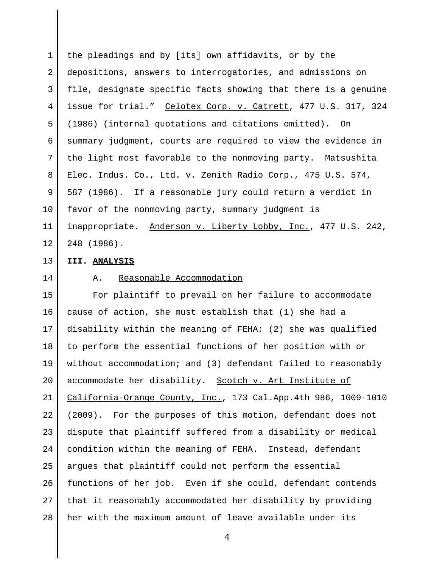1 2 3 4 5 6 7 8 9 10 11 12 the pleadings and by [its] own affidavits, or by the depositions, answers to interrogatories, and admissions on file, designate specific facts showing that there is a genuine issue for trial." Celotex Corp. v. Catrett, 477 U.S. 317, 324 (1986) (internal quotations and citations omitted). On summary judgment, courts are required to view the evidence in the light most favorable to the nonmoving party. Matsushita Elec. Indus. Co., Ltd. v. Zenith Radio Corp., 475 U.S. 574, 587 (1986). If a reasonable jury could return a verdict in favor of the nonmoving party, summary judgment is inappropriate. Anderson v. Liberty Lobby, Inc., 477 U.S. 242, 248 (1986).

#### **III. ANALYSIS**

# 14

13

## A. Reasonable Accommodation

15 16 17 18 19 20 21 22 23 24 25 26 27 28 For plaintiff to prevail on her failure to accommodate cause of action, she must establish that (1) she had a disability within the meaning of FEHA; (2) she was qualified to perform the essential functions of her position with or without accommodation; and (3) defendant failed to reasonably accommodate her disability. Scotch v. Art Institute of California-Orange County, Inc., 173 Cal.App.4th 986, 1009-1010 (2009). For the purposes of this motion, defendant does not dispute that plaintiff suffered from a disability or medical condition within the meaning of FEHA. Instead, defendant argues that plaintiff could not perform the essential functions of her job. Even if she could, defendant contends that it reasonably accommodated her disability by providing her with the maximum amount of leave available under its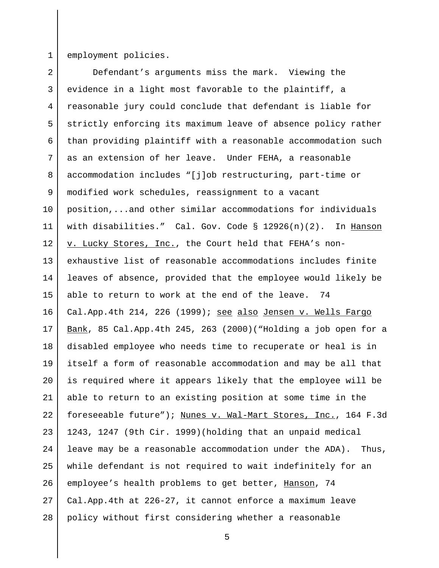1

employment policies.

2 3 4 5 6 7 8 9 10 11 12 13 14 15 16 17 18 19  $2.0$ 21 22 23 24 25 26 27 28 Defendant's arguments miss the mark. Viewing the evidence in a light most favorable to the plaintiff, a reasonable jury could conclude that defendant is liable for strictly enforcing its maximum leave of absence policy rather than providing plaintiff with a reasonable accommodation such as an extension of her leave. Under FEHA, a reasonable accommodation includes "[j]ob restructuring, part-time or modified work schedules, reassignment to a vacant position,...and other similar accommodations for individuals with disabilities." Cal. Gov. Code § 12926(n)(2). In Hanson v. Lucky Stores, Inc., the Court held that FEHA's nonexhaustive list of reasonable accommodations includes finite leaves of absence, provided that the employee would likely be able to return to work at the end of the leave. 74 Cal.App.4th 214, 226 (1999); see also Jensen v. Wells Fargo Bank, 85 Cal.App.4th 245, 263 (2000)("Holding a job open for a disabled employee who needs time to recuperate or heal is in itself a form of reasonable accommodation and may be all that is required where it appears likely that the employee will be able to return to an existing position at some time in the foreseeable future"); Nunes v. Wal-Mart Stores, Inc., 164 F.3d 1243, 1247 (9th Cir. 1999)(holding that an unpaid medical leave may be a reasonable accommodation under the ADA). Thus, while defendant is not required to wait indefinitely for an employee's health problems to get better, Hanson, 74 Cal.App.4th at 226-27, it cannot enforce a maximum leave policy without first considering whether a reasonable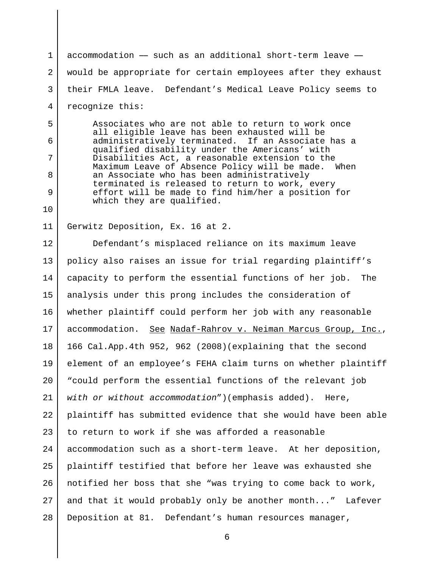1 2 3 4 accommodation  $-$  such as an additional short-term leave  $$ would be appropriate for certain employees after they exhaust their FMLA leave. Defendant's Medical Leave Policy seems to recognize this:

Associates who are not able to return to work once all eligible leave has been exhausted will be administratively terminated. If an Associate has a qualified disability under the Americans' with Disabilities Act, a reasonable extension to the Maximum Leave of Absence Policy will be made. When an Associate who has been administratively terminated is released to return to work, every effort will be made to find him/her a position for which they are qualified.

11 Gerwitz Deposition, Ex. 16 at 2.

5

6

7

8

9

10

12 13 14 15 16 17 18 19  $2.0$ 21 22 23 24 25 26 27 28 Defendant's misplaced reliance on its maximum leave policy also raises an issue for trial regarding plaintiff's capacity to perform the essential functions of her job. The analysis under this prong includes the consideration of whether plaintiff could perform her job with any reasonable accommodation. See Nadaf-Rahrov v. Neiman Marcus Group, Inc., 166 Cal.App.4th 952, 962 (2008)(explaining that the second element of an employee's FEHA claim turns on whether plaintiff "could perform the essential functions of the relevant job *with or without accommodation*")(emphasis added). Here, plaintiff has submitted evidence that she would have been able to return to work if she was afforded a reasonable accommodation such as a short-term leave. At her deposition, plaintiff testified that before her leave was exhausted she notified her boss that she "was trying to come back to work, and that it would probably only be another month..." Lafever Deposition at 81. Defendant's human resources manager,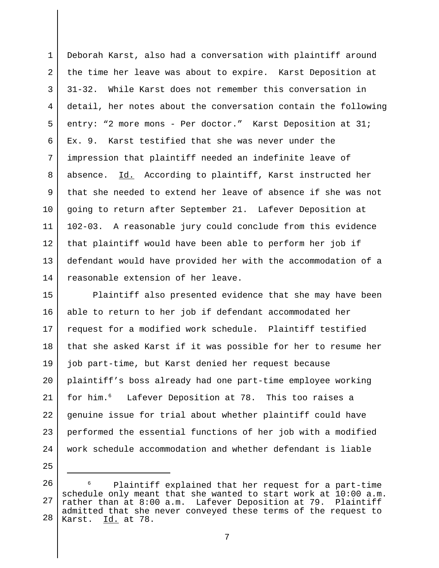1 2 3 4 5 6 7 8 9 10 11 12 13 14 Deborah Karst, also had a conversation with plaintiff around the time her leave was about to expire. Karst Deposition at 31-32. While Karst does not remember this conversation in detail, her notes about the conversation contain the following entry: "2 more mons - Per doctor." Karst Deposition at 31; Ex. 9. Karst testified that she was never under the impression that plaintiff needed an indefinite leave of absence. Id. According to plaintiff, Karst instructed her that she needed to extend her leave of absence if she was not going to return after September 21. Lafever Deposition at 102-03. A reasonable jury could conclude from this evidence that plaintiff would have been able to perform her job if defendant would have provided her with the accommodation of a reasonable extension of her leave.

15 16 17 18 19  $2.0$ 21 22 23 24 Plaintiff also presented evidence that she may have been able to return to her job if defendant accommodated her request for a modified work schedule. Plaintiff testified that she asked Karst if it was possible for her to resume her job part-time, but Karst denied her request because plaintiff's boss already had one part-time employee working for him.<sup>6</sup> Lafever Deposition at 78. This too raises a genuine issue for trial about whether plaintiff could have performed the essential functions of her job with a modified work schedule accommodation and whether defendant is liable

<sup>26</sup> 27 28 Plaintiff explained that her request for a part-time schedule only meant that she wanted to start work at 10:00 a.m. rather than at 8:00 a.m. Lafever Deposition at 79. Plaintiff admitted that she never conveyed these terms of the request to Karst. Id. at 78.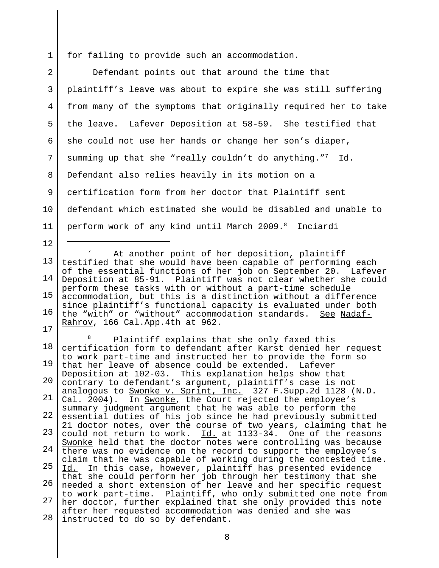1 for failing to provide such an accommodation.

12

2 3 4 5 6 7 8 9 10 11 Defendant points out that around the time that plaintiff's leave was about to expire she was still suffering from many of the symptoms that originally required her to take the leave. Lafever Deposition at 58-59. She testified that she could not use her hands or change her son's diaper, summing up that she "really couldn't do anything."<sup>7</sup> Id. Defendant also relies heavily in its motion on a certification form from her doctor that Plaintiff sent defendant which estimated she would be disabled and unable to perform work of any kind until March 2009.8 Inciardi

13 14 15 16 17 At another point of her deposition, plaintiff testified that she would have been capable of performing each of the essential functions of her job on September 20. Lafever Deposition at 85-91. Plaintiff was not clear whether she could perform these tasks with or without a part-time schedule accommodation, but this is a distinction without a difference since plaintiff's functional capacity is evaluated under both the "with" or "without" accommodation standards. See Nadaf-Rahrov, 166 Cal.App.4th at 962.

18 19 20 21 22 23 24 25 26 27 28 <sup>8</sup> Plaintiff explains that she only faxed this certification form to defendant after Karst denied her request to work part-time and instructed her to provide the form so that her leave of absence could be extended. Lafever Deposition at 102-03. This explanation helps show that contrary to defendant's argument, plaintiff's case is not analogous to Swonke v. Sprint, Inc. 327 F.Supp.2d 1128 (N.D. Cal. 2004). In Swonke, the Court rejected the employee's summary judgment argument that he was able to perform the essential duties of his job since he had previously submitted 21 doctor notes, over the course of two years, claiming that he could not return to work. Id. at 1133-34. One of the reasons Swonke held that the doctor notes were controlling was because there was no evidence on the record to support the employee's claim that he was capable of working during the contested time. Id. In this case, however, plaintiff has presented evidence that she could perform her job through her testimony that she needed a short extension of her leave and her specific request to work part-time. Plaintiff, who only submitted one note from her doctor, further explained that she only provided this note after her requested accommodation was denied and she was instructed to do so by defendant.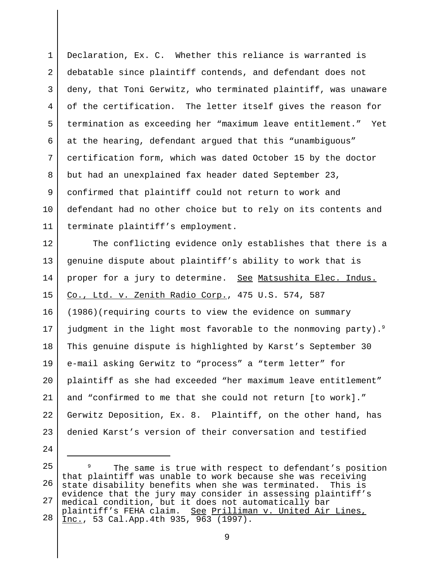1 2 3 4 5 6 7 8 9 10 11 Declaration, Ex. C. Whether this reliance is warranted is debatable since plaintiff contends, and defendant does not deny, that Toni Gerwitz, who terminated plaintiff, was unaware of the certification. The letter itself gives the reason for termination as exceeding her "maximum leave entitlement." Yet at the hearing, defendant argued that this "unambiguous" certification form, which was dated October 15 by the doctor but had an unexplained fax header dated September 23, confirmed that plaintiff could not return to work and defendant had no other choice but to rely on its contents and terminate plaintiff's employment.

12 13 14 15 16 17 18 19  $2.0$ 21 22 23 The conflicting evidence only establishes that there is a genuine dispute about plaintiff's ability to work that is proper for a jury to determine. See Matsushita Elec. Indus. Co., Ltd. v. Zenith Radio Corp., 475 U.S. 574, 587 (1986)(requiring courts to view the evidence on summary judgment in the light most favorable to the nonmoving party).<sup>9</sup> This genuine dispute is highlighted by Karst's September 30 e-mail asking Gerwitz to "process" a "term letter" for plaintiff as she had exceeded "her maximum leave entitlement" and "confirmed to me that she could not return [to work]." Gerwitz Deposition, Ex. 8. Plaintiff, on the other hand, has denied Karst's version of their conversation and testified

<sup>25</sup> 26 27 28 <sup>9</sup> The same is true with respect to defendant's position that plaintiff was unable to work because she was receiving state disability benefits when she was terminated. This is evidence that the jury may consider in assessing plaintiff's medical condition, but it does not automatically bar plaintiff's FEHA claim. <u>See Prilliman v. United Air Lines,</u> Inc., 53 Cal.App.4th 935, 963 (1997).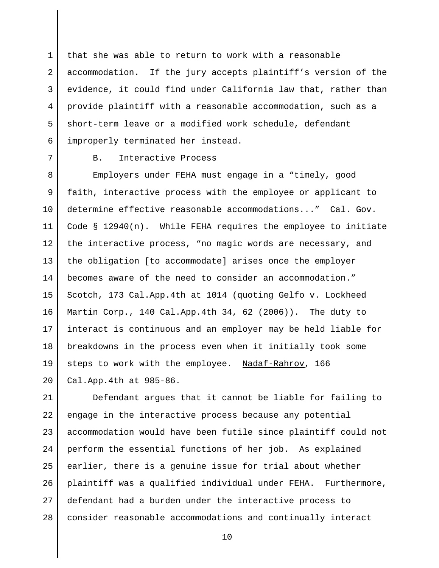1 2 3 4 5 6 that she was able to return to work with a reasonable accommodation. If the jury accepts plaintiff's version of the evidence, it could find under California law that, rather than provide plaintiff with a reasonable accommodation, such as a short-term leave or a modified work schedule, defendant improperly terminated her instead.

7

## B. Interactive Process

8 9 10 11 12 13 14 15 16 17 18 19  $2.0$ Employers under FEHA must engage in a "timely, good faith, interactive process with the employee or applicant to determine effective reasonable accommodations..." Cal. Gov. Code § 12940(n). While FEHA requires the employee to initiate the interactive process, "no magic words are necessary, and the obligation [to accommodate] arises once the employer becomes aware of the need to consider an accommodation." Scotch, 173 Cal.App.4th at 1014 (quoting Gelfo v. Lockheed Martin Corp., 140 Cal.App.4th 34, 62 (2006)). The duty to interact is continuous and an employer may be held liable for breakdowns in the process even when it initially took some steps to work with the employee. Nadaf-Rahrov, 166 Cal.App.4th at 985-86.

21 22 23 24 25 26 27 28 Defendant argues that it cannot be liable for failing to engage in the interactive process because any potential accommodation would have been futile since plaintiff could not perform the essential functions of her job. As explained earlier, there is a genuine issue for trial about whether plaintiff was a qualified individual under FEHA. Furthermore, defendant had a burden under the interactive process to consider reasonable accommodations and continually interact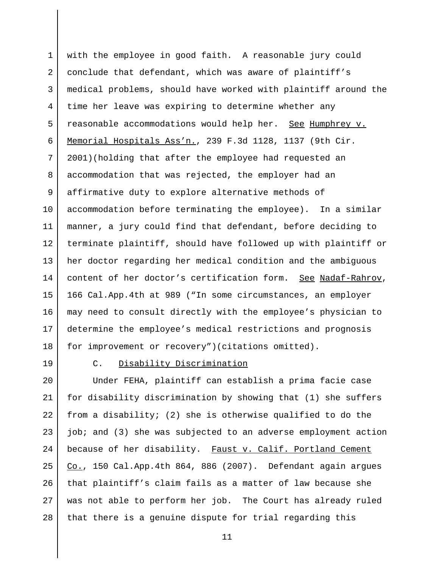1 2 3 4 5 6 7 8 9 10 11 12 13 14 15 16 17 18 with the employee in good faith. A reasonable jury could conclude that defendant, which was aware of plaintiff's medical problems, should have worked with plaintiff around the time her leave was expiring to determine whether any reasonable accommodations would help her. See Humphrey v. Memorial Hospitals Ass'n., 239 F.3d 1128, 1137 (9th Cir. 2001)(holding that after the employee had requested an accommodation that was rejected, the employer had an affirmative duty to explore alternative methods of accommodation before terminating the employee). In a similar manner, a jury could find that defendant, before deciding to terminate plaintiff, should have followed up with plaintiff or her doctor regarding her medical condition and the ambiguous content of her doctor's certification form. See Nadaf-Rahrov, 166 Cal.App.4th at 989 ("In some circumstances, an employer may need to consult directly with the employee's physician to determine the employee's medical restrictions and prognosis for improvement or recovery")(citations omitted).

19

## C. Disability Discrimination

 $2.0$ 21 22 23 24 25 26 27 28 Under FEHA, plaintiff can establish a prima facie case for disability discrimination by showing that (1) she suffers from a disability; (2) she is otherwise qualified to do the job; and (3) she was subjected to an adverse employment action because of her disability. Faust v. Calif. Portland Cement Co., 150 Cal.App.4th 864, 886 (2007). Defendant again argues that plaintiff's claim fails as a matter of law because she was not able to perform her job. The Court has already ruled that there is a genuine dispute for trial regarding this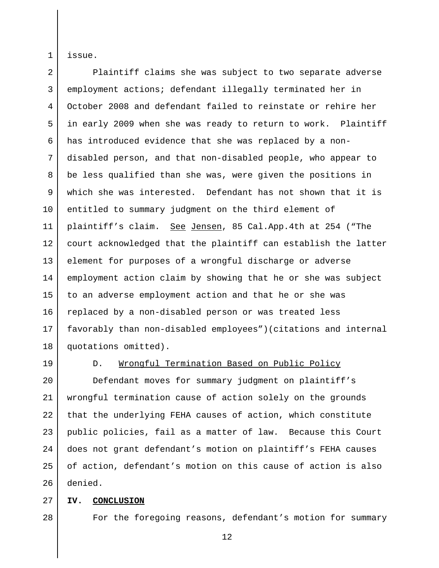issue.

1

 $\mathfrak{D}$ 3 4 5 6 7 8 9 10 11 12 13 14 15 16 17 18 Plaintiff claims she was subject to two separate adverse employment actions; defendant illegally terminated her in October 2008 and defendant failed to reinstate or rehire her in early 2009 when she was ready to return to work. Plaintiff has introduced evidence that she was replaced by a nondisabled person, and that non-disabled people, who appear to be less qualified than she was, were given the positions in which she was interested. Defendant has not shown that it is entitled to summary judgment on the third element of plaintiff's claim. See Jensen, 85 Cal.App.4th at 254 ("The court acknowledged that the plaintiff can establish the latter element for purposes of a wrongful discharge or adverse employment action claim by showing that he or she was subject to an adverse employment action and that he or she was replaced by a non-disabled person or was treated less favorably than non-disabled employees")(citations and internal quotations omitted).

19

## D. Wrongful Termination Based on Public Policy

 $2.0$ 21 22 23 24 25 26 Defendant moves for summary judgment on plaintiff's wrongful termination cause of action solely on the grounds that the underlying FEHA causes of action, which constitute public policies, fail as a matter of law. Because this Court does not grant defendant's motion on plaintiff's FEHA causes of action, defendant's motion on this cause of action is also denied.

#### 27 **IV. CONCLUSION**

28

## For the foregoing reasons, defendant's motion for summary